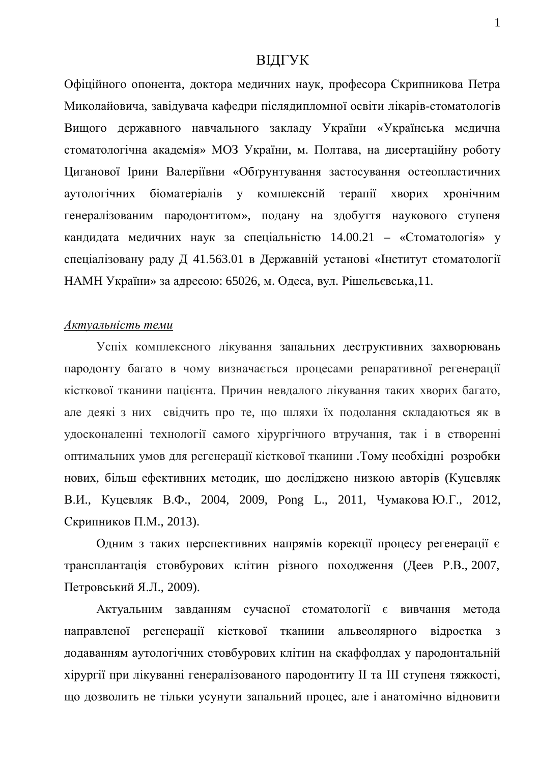## ВІДГУК

Офіційного опонента, доктора медичних наук, професора Скрипникова Петра Миколайовича, завілувача кафелри післялипломної освіти лікарів-стоматологів Вищого державного навчального закладу України «Українська медична стоматологічна академія» МОЗ України, м. Полтава, на дисертаційну роботу Циганової Ірини Валеріївни «Обґрунтування застосування остеопластичних аутологічних біоматеріалів у комплексній терапії хворих хронічним генералізованим пародонтитом», подану на здобуття наукового ступеня кандидата медичних наук за спеціальністю  $14.00.21$  – «Стоматологія» у спеціалізовану раду Д 41.563.01 в Державній установі «Інститут стоматології НАМН України» за адресою: 65026, м. Одеса, вул. Рішельєвська,11.

## $A$ *ктуальність теми*

Успіх комплексного лікування запальних деструктивних захворювань пародонту багато в чому визначається процесами репаративної регенерації кісткової тканини пацієнта. Причин невдалого лікування таких хворих багато, але деякі з них свідчить про те, що шляхи їх подолання складаються як в удосконаленні технології самого хірургічного втручання, так і в створенні оптимальних умов для регенерації кісткової тканини . Тому необхідні розробки нових, більш ефективних методик, що досліджено низкою авторів (Куцевляк В.И., Куцевляк В.Ф., 2004, 2009, Pong L., 2011, Чумакова Ю.Г., 2012, Скрипников П.М., 2013).

Одним з таких перспективних напрямів корекції процесу регенерації є трансплантація стовбурових клітин різного походження (Деев Р.В., 2007, Петровський Я.Л., 2009).

Актуальним завданням сучасної стоматології є вивчання метода направленої регенерації кісткової тканини альвеолярного відростка з додаванням аутологічних стовбурових клітин на скаффолдах у пародонтальній хірургії при лікуванні генералізованого пародонтиту II та III ступеня тяжкості, що дозволить не тільки усунути запальний процес, але і анатомічно відновити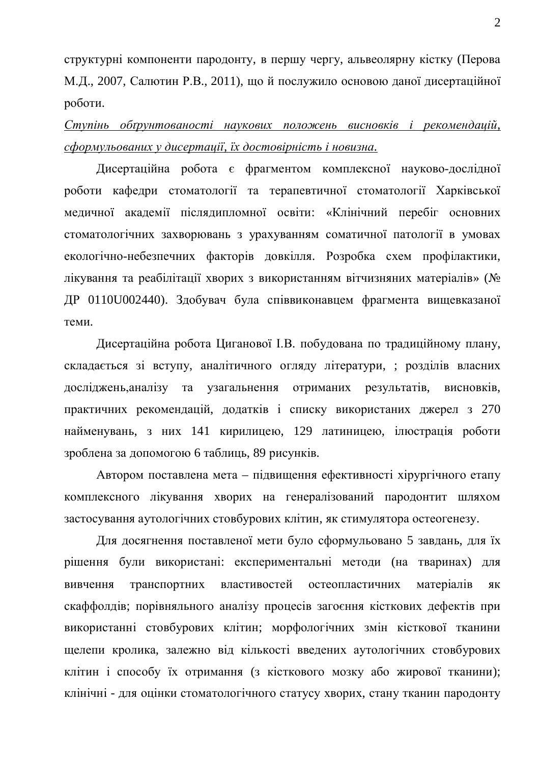структурні компоненти пародонту, в першу чергу, альвеолярну кістку (Перова М.Д., 2007, Салютин Р.В., 2011), що й послужило основою даної дисертаційної роботи.

Ступінь обґрунтованості наукових положень висновків і рекомендацій,  $c$ формульованих у дисертаиії, їх достовірність і новизна.

Дисертаційна робота є фрагментом комплексної науково-дослідної роботи кафедри стоматології та терапевтичної стоматології Харківської медичної академії післядипломної освіти: «Клінічний перебіг основних стоматологічних захворювань з урахуванням соматичної патології в умовах екологічно-небезпечних факторів довкілля. Розробка схем профілактики, лікування та реабілітації хворих з використанням вітчизняних матеріалів» (№ ДР 0110U002440). Здобувач була співвиконавцем фрагмента вищевказаної теми.

Дисертаційна робота Циганової І.В. побудована по традиційному плану, складається зі вступу, аналітичного огляду літератури, ; розділів власних досліджень, аналізу та узагальнення отриманих результатів, висновків, практичних рекомендацій, додатків і списку використаних джерел з 270 найменувань, з них 141 кирилицею, 129 латиницею, ілюстрація роботи зроблена за допомогою 6 таблиць, 89 рисунків.

Автором поставлена мета – підвищення ефективності хірургічного етапу комплексного лікування хворих на генералізований пародонтит шляхом застосування аутологічних стовбурових клітин, як стимулятора остеогенезу.

Для досягнення поставленої мети було сформульовано 5 завдань, для їх рішення були використані: експериментальні методи (на тваринах) для вивчення транспортних властивостей остеопластичних матеріалів як скаффолдів; порівняльного аналізу процесів загоєння кісткових дефектів при використанні стовбурових клітин; морфологічних змін кісткової тканини щелепи кролика, залежно від кількості введених аутологічних стовбурових клітин і способу їх отримання (з кісткового мозку або жирової тканини); клінічні - для оцінки стоматологічного статусу хворих, стану тканин пародонту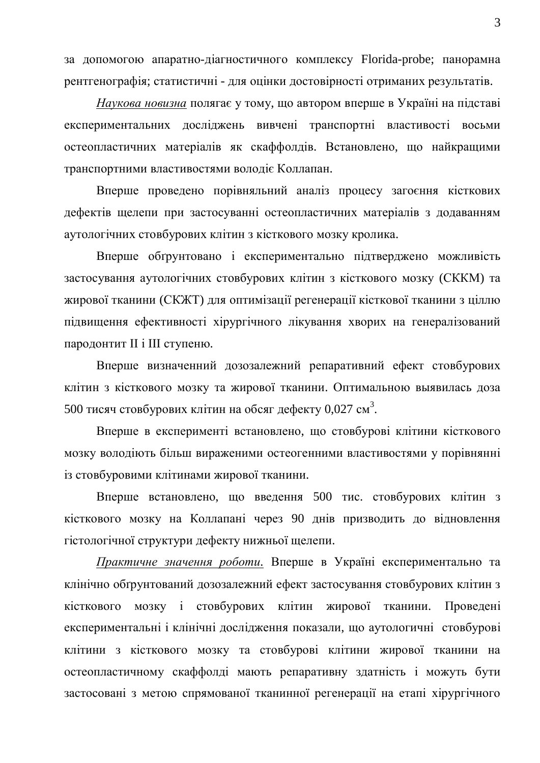за допомогою апаратно-діагностичного комплексу Florida-probe; панорамна рентгенографія; статистичні - для оцінки достовірності отриманих результатів.

Наукова новизна полягає у тому, що автором вперше в Україні на підставі експериментальних досліджень вивчені транспортні властивості восьми остеопластичних матеріалів як скаффолдів. Встановлено, що найкращими транспортними властивостями володіє Коллапан.

Вперше проведено порівняльний аналіз процесу загоєння кісткових дефектів щелепи при застосуванні остеопластичних матеріалів з додаванням аутологічних стовбурових клітин з кісткового мозку кролика.

Вперше обтрунтовано і експериментально підтверджено можливість застосування аутологічних стовбурових клітин з кісткового мозку (СККМ) та жирової тканини (СКЖТ) для оптимізації регенерації кісткової тканини з ціллю підвищення ефективності хірургічного лікування хворих на генералізований пародонтит II і III ступеню.

Вперше визначенний дозозалежний репаративний ефект стовбурових клітин з кісткового мозку та жирової тканини. Оптимальною выявилась доза 500 тисяч стовбурових клітин на обсяг дефекту 0,027 см<sup>3</sup>.

Вперше в експерименті встановлено, що стовбурові клітини кісткового мозку володіють більш вираженими остеогенними властивостями у порівнянні із стовбуровими клітинами жирової тканини.

Вперше встановлено, що введення 500 тис. стовбурових клітин з кісткового мозку на Коллапані через 90 днів призводить до відновлення гістологічної структури дефекту нижньої щелепи.

Практичне значення роботи. Вперше в Україні експериментально та клінічно обґрунтований дозозалежний ефект застосування стовбурових клітин з кісткового мозку і стовбурових клітин жирової тканини. Проведені експериментальні і клінічні дослідження показали, що аутологичні стовбурові клітини з кісткового мозку та стовбурові клітини жирової тканини на остеопластичному скаффолді мають репаративну здатність і можуть бути застосовані з метою спрямованої тканинної регенерації на етапі хірургічного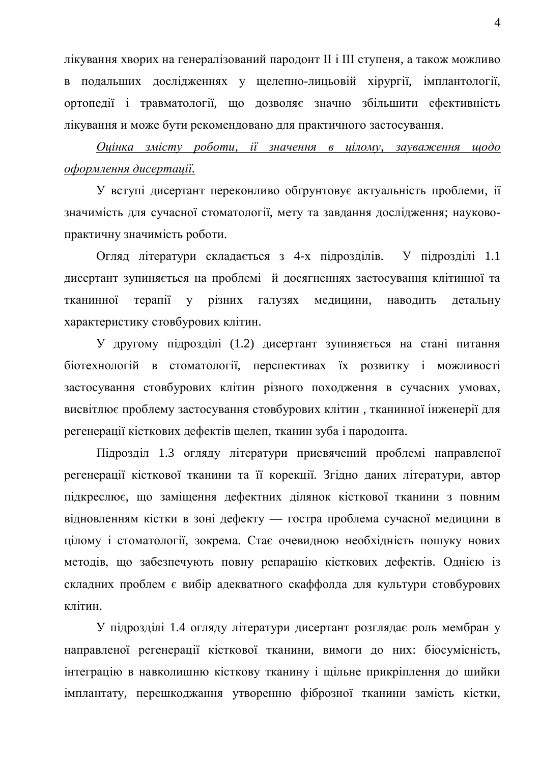лікування хворих на генералізований пародонт II і III ступеня, а також можливо в подальших дослідженнях у щелепно-лицьовій хірургії, імплантології, ортопедії і травматології, що дозволяє значно збільшити ефективність лікування и може бути рекомендовано для практичного застосування.

*Ɉɰɿɧɤɚ ɡɦɿɫɬɭ ɪɨɛɨɬɢ, ɿʀ ɡɧɚɱɟɧɧɹ ɜ ɰɿɥɨɦɭ, ɡɚɭɜɚɠɟɧɧɹ ɳɨɞɨ*  $\alpha$ формлення дисертації.

У вступі дисертант переконливо обґрунтовує актуальність проблеми, ії значимість для сучасної стоматології, мету та завдання дослідження; науковопрактичну значимість роботи.

Огляд літератури складається з 4-х підрозділів. У підрозділі 1.1 дисертант зупиняється на проблемі й досягненнях застосування клітинної та тканинної терапії у різних галузях медицини, наводить детальну характеристику стовбурових клітин.

У другому підрозділі (1.2) дисертант зупиняється на стані питання біотехнологій в стоматології, перспективах їх розвитку і можливості застосування стовбурових клітин різного походження в сучасних умовах, висвітлює проблему застосування стовбурових клітин, тканинної інженерії для регенерації кісткових дефектів щелеп, тканин зуба і пародонта.

Підрозділ 1.3 огляду літератури присвячений проблемі направленої регенерації кісткової тканини та її корекції. Згідно даних літератури, автор підкреслює, що заміщення дефектних ділянок кісткової тканини з повним відновленням кістки в зоні дефекту — гостра проблема сучасної медицини в цілому і стоматології, зокрема. Стає очевидною необхідність пошуку нових методів, що забезпечують повну репарацію кісткових дефектів. Однією із складних проблем є вибір адекватного скаффолда для культури стовбурових клітин.

У підрозділі 1.4 огляду літератури дисертант розглядає роль мембран у направленої регенерації кісткової тканини, вимоги до них: біосумісність, інтеграцію в навколишню кісткову тканину і щільне прикріплення до шийки імплантату, перешкоджання утворенню фіброзної тканини замість кістки,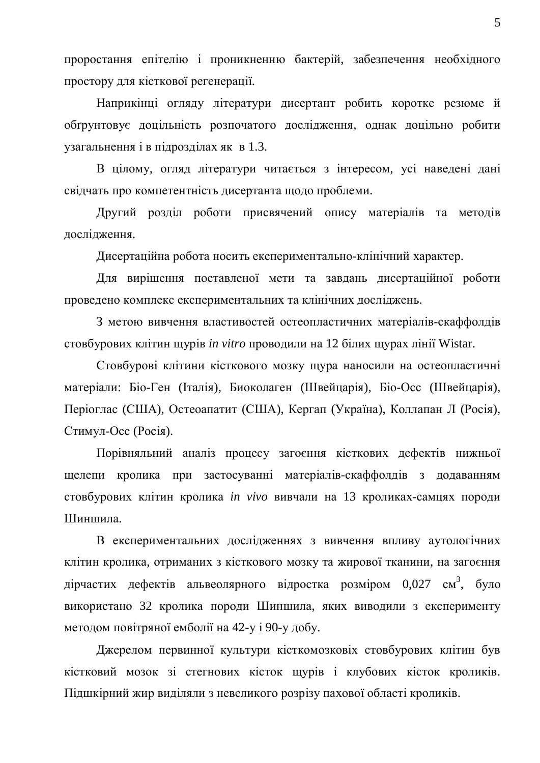проростання епітелію і проникненню бактерій, забезпечення необхідного простору для кісткової регенерації.

Наприкінці огляду літератури дисертант робить коротке резюме й обґрунтовує доцільність розпочатого дослідження, однак доцільно робити узагальнення і в підрозділах як в 1.3.

В цілому, огляд літератури читається з інтересом, усі наведені дані свідчать про компетентність дисертанта щодо проблеми.

Другий розділ роботи присвячений опису матеріалів та методів дослідження.

Дисертаційна робота носить експериментально-клінічний характер.

Для вирішення поставленої мети та завдань дисертаційної роботи проведено комплекс експериментальних та клінічних досліджень.

З метою вивчення властивостей остеопластичних матеріалів-скаффолдів стовбурових клітин щурів *in vitro* проводили на 12 білих щурах лінії Wistar.

Стовбурові клітини кісткового мозку щура наносили на остеопластичні матеріали: Біо-Ген (Італія), Биоколаген (Швейцарія), Біо-Осс (Швейцарія), Періоглас (США), Остеоапатит (США), Кергап (Україна), Коллапан Л (Росія), Стимул-Осс (Росія).

Порівняльний аналіз процесу загоєння кісткових дефектів нижньої щелепи кролика при застосуванні матеріалів-скаффолдів з додаванням стовбурових клітин кролика *in vivo* вивчали на 13 кроликах-самцях породи Шиншила.

В експериментальних дослідженнях з вивчення впливу аутологічних клітин кролика, отриманих з кісткового мозку та жирової тканини, на загоєння дірчастих дефектів альвеолярного відростка розміром 0,027 см<sup>3</sup>, було використано 32 кролика породи Шиншила, яких виводили з експерименту методом повітряної емболії на 42-у і 90-у добу.

Джерелом первинної культури кісткомозковіх стовбурових клітин був кістковий мозок зі стегнових кісток щурів і клубових кісток кроликів. Підшкірний жир виділяли з невеликого розрізу пахової області кроликів.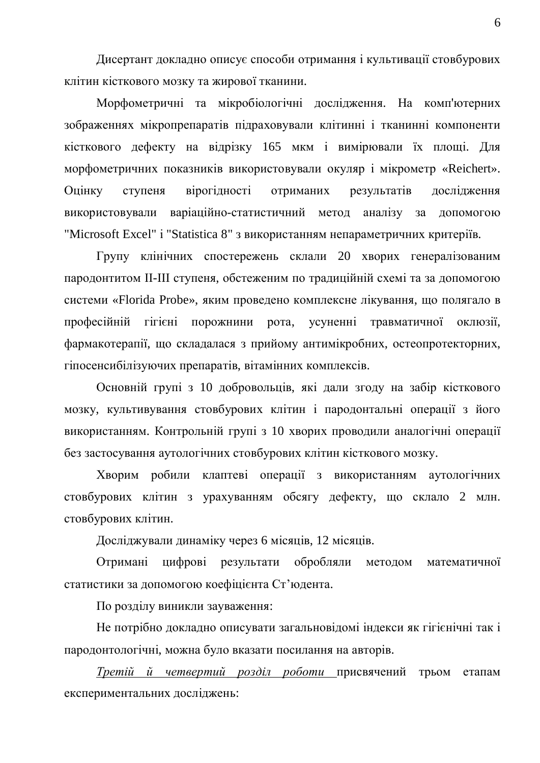Дисертант докладно описує способи отримання і культивації стовбурових клітин кісткового мозку та жирової тканини.

Морфометричні та мікробіологічні дослідження. На комп'ютерних зображеннях мікропрепаратів підраховували клітинні і тканинні компоненти кісткового дефекту на відрізку 165 мкм і вимірювали їх площі. Для морфометричних показників використовували окуляр і мікрометр «Reichert». Оцінку ступеня вірогідності отриманих результатів дослідження використовували варіаційно-статистичний метод аналізу за допомогою "Microsoft Excel" i "Statistica 8" з використанням непараметричних критеріїв.

Групу клінічних спостережень склали 20 хворих генералізованим пародонтитом II-III ступеня, обстеженим по традиційній схемі та за допомогою системи «Florida Probe», яким проведено комплексне лікування, що полягало в професійній гігієні порожнини рота, усуненні травматичної оклюзії, фармакотерапії, що складалася з прийому антимікробних, остеопротекторних, гіпосенсибілізуючих препаратів, вітамінних комплексів.

Основній групі з 10 добровольців, які дали згоду на забір кісткового мозку, культивування стовбурових клітин і пародонтальні операції з його використанням. Контрольній групі з 10 хворих проводили аналогічні операції без застосування аутологічних стовбурових клітин кісткового мозку.

Хворим робили клаптеві операції з використанням аутологічних стовбурових клітин з урахуванням обсягу дефекту, що склало 2 млн. стовбурових клітин.

Досліджували динаміку через 6 місяців, 12 місяців.

Отримані цифрові результати обробляли методом математичної статистики за допомогою коефіцієнта Ст'юдента.

По розділу виникли зауваження:

Не потрібно докладно описувати загальновідомі індекси як гігієнічні так і пародонтологічні, можна було вказати посилання на авторів.

*Третій й четвертий розділ роботи* присвячений трьом етапам експериментальних досліджень: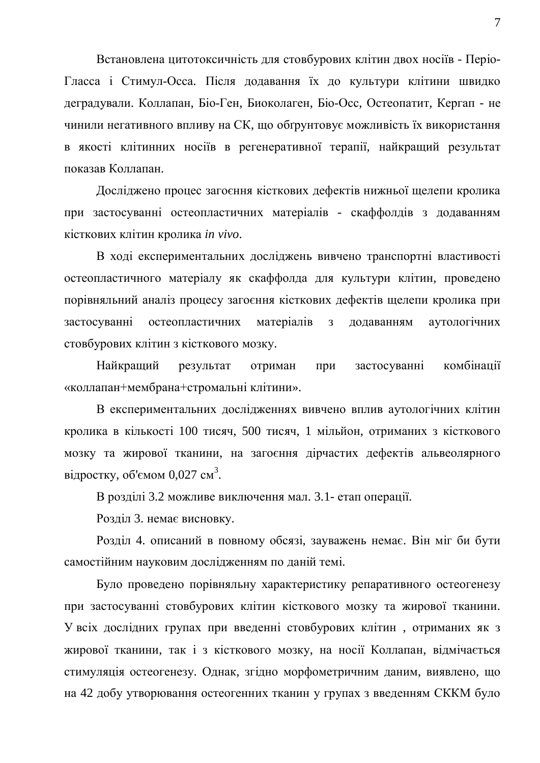Встановлена цитотоксичність для стовбурових клітин двох носіїв - Періо-Гласса і Стимул-Осса. Після додавання їх до культури клітини швидко деградували. Коллапан, Біо-Ген, Биоколаген, Біо-Осс, Остеопатит, Кергап - не чинили негативного впливу на СК, що обгрунтовує можливість їх використання в якості клітинних носіїв в регенеративної терапії, найкращий результат показав Коппапан.

Досліджено процес загоєння кісткових дефектів нижньої щелепи кролика при застосуванні остеопластичних матеріалів - скаффолдів з додаванням кісткових клітин кролика *in vivo*.

В ході експериментальних досліджень вивчено транспортні властивості остеопластичного матеріалу як скаффолда для культури клітин, проведено порівняльний аналіз процесу загоєння кісткових дефектів щелепи кролика при застосуванні остеопластичних матеріалів з додаванням аутологічних стовбурових клітин з кісткового мозку.

Найкращий результат отриман при застосуванні комбінації «коллапан+мембрана+стромальні клітини».

В експериментальних дослідженнях вивчено вплив аутологічних клітин кролика в кількості 100 тисяч, 500 тисяч, 1 мільйон, отриманих з кісткового мозку та жирової тканини, на загоєння дірчастих дефектів альвеолярного відростку, об'ємом 0,027 см<sup>3</sup>.

В розділі 3.2 можливе виключення мал. 3.1- етап операції.

Розділ 3. немає висновку.

Розділ 4. описаний в повному обсязі, зауважень немає. Він міг би бути самостійним науковим дослідженням по даній темі.

Було проведено порівняльну характеристику репаративного остеогенезу при застосуванні стовбурових клітин кісткового мозку та жирової тканини. У всіх дослідних групах при введенні стовбурових клітин, отриманих як з жирової тканини, так і з кісткового мозку, на носії Коллапан, відмічається стимуляція остеогенезу. Однак, згідно морфометричним даним, виявлено, що на 42 добу утворювання остеогенних тканин у групах з введенням СККМ було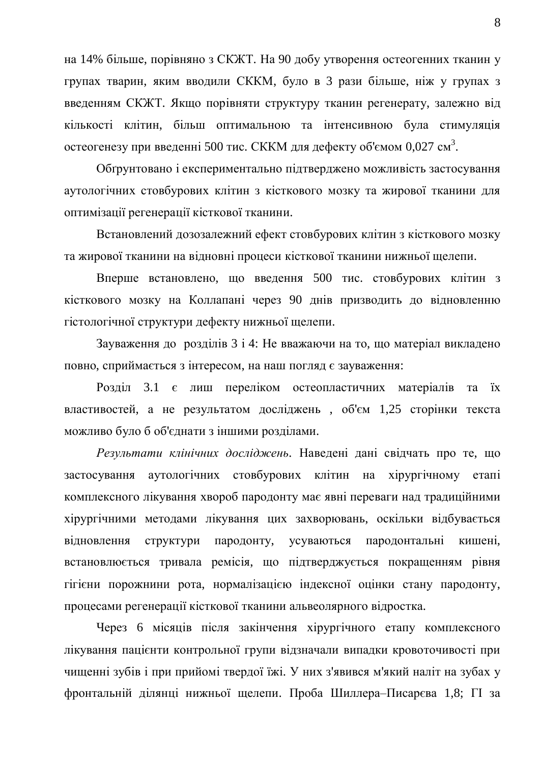на 14% більше, порівняно з СКЖТ. На 90 добу утворення остеогенних тканин у групах тварин, яким вводили СККМ, було в 3 рази більше, ніж у групах з введенням СКЖТ. Якщо порівняти структуру тканин регенерату, залежно від кількості клітин, більш оптимальною та інтенсивною була стимуляція остеогенезу при введенні 500 тис. СККМ для дефекту об'ємом 0,027 см<sup>3</sup>.

Обгрунтовано і експериментально підтверджено можливість застосування аутологічних стовбурових клітин з кісткового мозку та жирової тканини для оптимізації регенерації кісткової тканини.

Встановлений дозозалежний ефект стовбурових клітин з кісткового мозку та жирової тканини на відновні процеси кісткової тканини нижньої щелепи.

Вперше встановлено, що введення 500 тис. стовбурових клітин з кісткового мозку на Коллапані через 90 днів призводить до відновленню гістологічної структури дефекту нижньої щелепи.

Зауваження до розділів 3 і 4: Не вважаючи на то, що матеріал викладено повно, сприймається з інтересом, на наш погляд є зауваження:

Розділ 3.1 є лиш переліком остеопластичних матеріалів та їх властивостей, а не результатом досліджень, об'єм 1,25 сторінки текста можливо було б об'єднати з іншими розділами.

Результати клінічних досліджень. Наведені дані свідчать про те, що застосування аутологічних стовбурових клітин на хірургічному етапі комплексного лікування хвороб пародонту має явні переваги над традиційними хірургічними методами лікування цих захворювань, оскільки відбувається відновлення структури пародонту, усуваються пародонтальні кишені, встановлюється тривала ремісія, що підтверджується покращенням рівня гігієни порожнини рота, нормалізацією індексної оцінки стану пародонту, процесами регенерації кісткової тканини альвеолярного відростка.

Через 6 місяців після закінчення хірургічного етапу комплексного лікування пацієнти контрольної групи відзначали випадки кровоточивості при чищенні зубів і при прийомі твердої їжі. У них з'явився м'який наліт на зубах у фронтальній ділянці нижньої щелепи. Проба Шиллера-Писарєва 1,8; ГІ за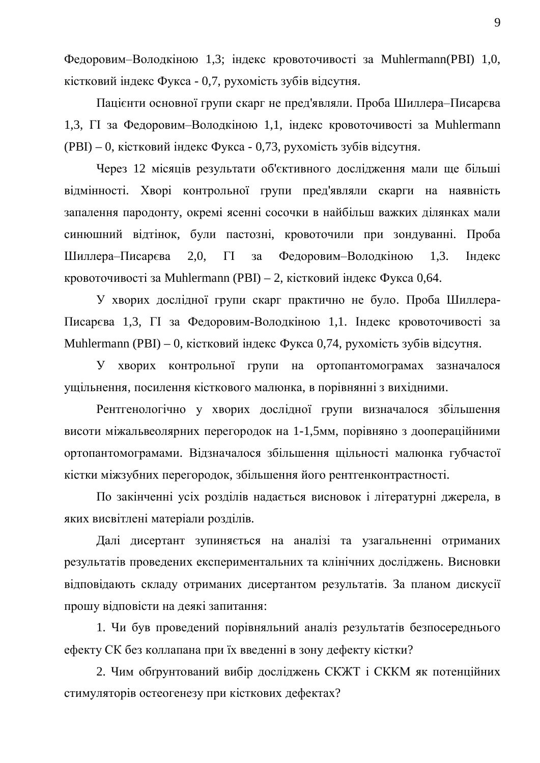Федоровим-Володкіною 1,3; індекс кровоточивості за Muhlermann(PBI) 1,0, кістковий індекс Фукса - 0,7, рухомість зубів відсутня.

Пацієнти основної групи скарг не пред'являли. Проба Шиллера–Писарєва 1,3,  $\Gamma$ I за Федоровим-Володкіною 1,1, індекс кровоточивості за Muhlermann  $(PBI) - 0$ , кістковий індекс Фукса - 0,73, рухомість зубів відсутня.

Через 12 місяців результати об'єктивного дослідження мали ще більші відмінності. Хворі контрольної групи пред'являли скарги на наявність запалення пародонту, окремі ясенні сосочки в найбільш важких ділянках мали синюшний відтінок, були пастозні, кровоточили при зондуванні. Проба Шиллера-Писарєва 2,0,  $\Gamma$  за Федоровим-Володкіною 1,3. Індекс кровоточивості за Muhlermann (PBI) – 2, кістковий індекс Фукса 0,64.

У хворих дослідної групи скарг практично не було. Проба Шиллера-Писарєва 1,3,  $\Pi$  за Федоровим-Володкіною 1,1. Індекс кровоточивості за Muhlermann (PBI) – 0, кістковий індекс Фукса 0,74, рухомість зубів відсутня.

У хворих контрольної групи на ортопантомограмах зазначалося ущільнення, посилення кісткового малюнка, в порівнянні з вихідними.

Рентгенологічно у хворих дослідної групи визначалося збільшення висоти міжальвеолярних перегородок на 1-1,5мм, порівняно з доопераційними ортопантомограмами. Відзначалося збільшення щільності малюнка губчастої кістки міжзубних перегородок, збільшення його рентгенконтрастності.

По закінченні усіх розділів надається висновок і літературні джерела, в яких висвітлені матеріали розділів.

Далі дисертант зупиняється на аналізі та узагальненні отриманих результатів проведених експериментальних та клінічних досліджень. Висновки відповідають складу отриманих дисертантом результатів. За планом дискусії прошу відповісти на деякі запитання:

1. Чи був проведений порівняльний аналіз результатів безпосереднього ефекту СК без коллапана при їх введенні в зону дефекту кістки?

2. Чим обгрунтований вибір досліджень СКЖТ і СККМ як потенційних стимуляторів остеогенезу при кісткових дефектах?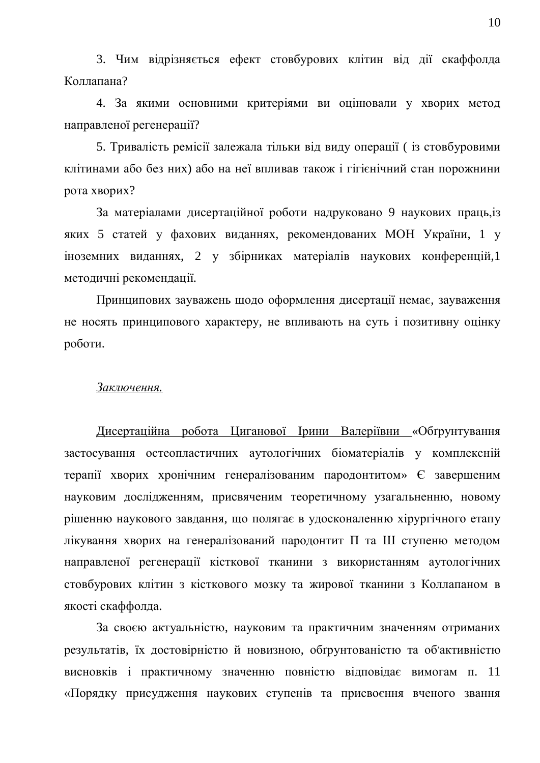3. Чим відрізняється ефект стовбурових клітин від дії скаффолда Коллапана?

4. За якими основними критеріями ви оцінювали у хворих метод направленої регенерації?

5. Тривалість ремісії залежала тільки від виду операції ( із стовбуровими клітинами або без них) або на неї впливав також і гігієнічний стан порожнини рота хворих?

За матеріалами дисертаційної роботи надруковано 9 наукових праць, із яких 5 статей у фахових виданнях, рекомендованих МОН України, 1 у іноземних виданнях, 2 у збірниках матеріалів наукових конференцій,1 методичні рекомендації.

Принципових зауважень щодо оформлення дисертації немає, зауваження не носять принципового характеру, не впливають на суть і позитивну оцінку роботи.

## $3a$ *ключення*.

Дисертаційна робота Циганової Ірини Валеріївни «Обґрунтування застосування остеопластичних аутологічних біоматеріалів у комплексній терапії хворих хронічним генералізованим пародонтитом» Є завершеним науковим дослідженням, присвяченим теоретичному узагальненню, новому рішенню наукового завдання, що полягає в удосконаленню хірургічного етапу лікування хворих на генералізований пародонтит П та Ш ступеню методом направленої регенерації кісткової тканини з використанням аутологічних стовбурових клітин з кісткового мозку та жирової тканини з Коллапаном в якості скаффолда.

За своєю актуальністю, науковим та практичним значенням отриманих результатів, їх достовірністю й новизною, обґрунтованістю та об'активністю висновків і практичному значенню повністю відповідає вимогам п. 11 «Порядку присудження наукових ступенів та присвоєння вченого звання